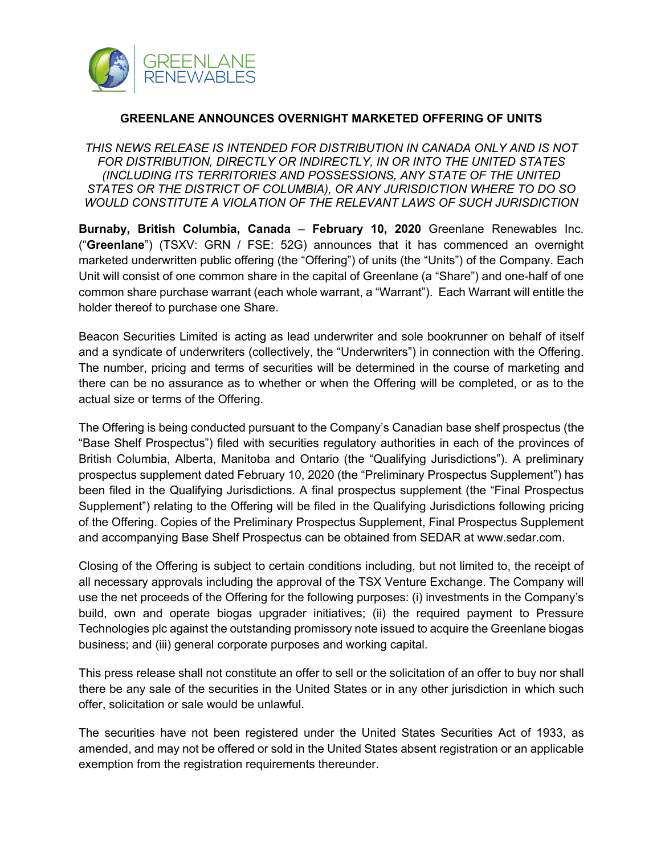

## **GREENLANE ANNOUNCES OVERNIGHT MARKETED OFFERING OF UNITS**

*THIS NEWS RELEASE IS INTENDED FOR DISTRIBUTION IN CANADA ONLY AND IS NOT FOR DISTRIBUTION, DIRECTLY OR INDIRECTLY, IN OR INTO THE UNITED STATES (INCLUDING ITS TERRITORIES AND POSSESSIONS, ANY STATE OF THE UNITED STATES OR THE DISTRICT OF COLUMBIA), OR ANY JURISDICTION WHERE TO DO SO WOULD CONSTITUTE A VIOLATION OF THE RELEVANT LAWS OF SUCH JURISDICTION*

**Burnaby, British Columbia, Canada** – **February 10, 2020** Greenlane Renewables Inc. ("**Greenlane**") (TSXV: GRN / FSE: 52G) announces that it has commenced an overnight marketed underwritten public offering (the "Offering") of units (the "Units") of the Company. Each Unit will consist of one common share in the capital of Greenlane (a "Share") and one-half of one common share purchase warrant (each whole warrant, a "Warrant"). Each Warrant will entitle the holder thereof to purchase one Share.

Beacon Securities Limited is acting as lead underwriter and sole bookrunner on behalf of itself and a syndicate of underwriters (collectively, the "Underwriters") in connection with the Offering. The number, pricing and terms of securities will be determined in the course of marketing and there can be no assurance as to whether or when the Offering will be completed, or as to the actual size or terms of the Offering.

The Offering is being conducted pursuant to the Company's Canadian base shelf prospectus (the "Base Shelf Prospectus") filed with securities regulatory authorities in each of the provinces of British Columbia, Alberta, Manitoba and Ontario (the "Qualifying Jurisdictions"). A preliminary prospectus supplement dated February 10, 2020 (the "Preliminary Prospectus Supplement") has been filed in the Qualifying Jurisdictions. A final prospectus supplement (the "Final Prospectus Supplement") relating to the Offering will be filed in the Qualifying Jurisdictions following pricing of the Offering. Copies of the Preliminary Prospectus Supplement, Final Prospectus Supplement and accompanying Base Shelf Prospectus can be obtained from SEDAR at www.sedar.com.

Closing of the Offering is subject to certain conditions including, but not limited to, the receipt of all necessary approvals including the approval of the TSX Venture Exchange. The Company will use the net proceeds of the Offering for the following purposes: (i) investments in the Company's build, own and operate biogas upgrader initiatives; (ii) the required payment to Pressure Technologies plc against the outstanding promissory note issued to acquire the Greenlane biogas business; and (iii) general corporate purposes and working capital.

This press release shall not constitute an offer to sell or the solicitation of an offer to buy nor shall there be any sale of the securities in the United States or in any other jurisdiction in which such offer, solicitation or sale would be unlawful.

The securities have not been registered under the United States Securities Act of 1933, as amended, and may not be offered or sold in the United States absent registration or an applicable exemption from the registration requirements thereunder.